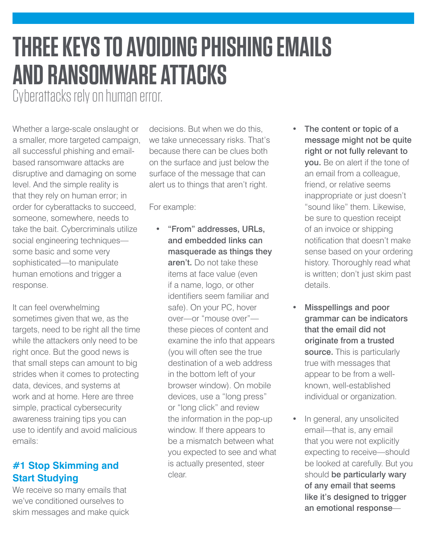## **THREE KEYS TO AVOIDING PHISHING EMAILS AND RANSOMWARE ATTACKS**

Cyberattacks rely on human error.

Whether a large-scale onslaught or a smaller, more targeted campaign, all successful phishing and emailbased ransomware attacks are disruptive and damaging on some level. And the simple reality is that they rely on human error; in order for cyberattacks to succeed, someone, somewhere, needs to take the bait. Cybercriminals utilize social engineering techniques some basic and some very sophisticated—to manipulate human emotions and trigger a response.

It can feel overwhelming sometimes given that we, as the targets, need to be right all the time while the attackers only need to be right once. But the good news is that small steps can amount to big strides when it comes to protecting data, devices, and systems at work and at home. Here are three simple, practical cybersecurity awareness training tips you can use to identify and avoid malicious emails:

## **#1 Stop Skimming and Start Studying**

We receive so many emails that we've conditioned ourselves to skim messages and make quick decisions. But when we do this, we take unnecessary risks. That's because there can be clues both on the surface and just below the surface of the message that can alert us to things that aren't right.

For example:

- "From" addresses, URLs, and embedded links can masquerade as things they aren't. Do not take these items at face value (even if a name, logo, or other identifiers seem familiar and safe). On your PC, hover over—or "mouse over" these pieces of content and examine the info that appears (you will often see the true destination of a web address in the bottom left of your browser window). On mobile devices, use a "long press" or "long click" and review the information in the pop-up window. If there appears to be a mismatch between what you expected to see and what is actually presented, steer clear.
- The content or topic of a message might not be quite right or not fully relevant to you. Be on alert if the tone of an email from a colleague, friend, or relative seems inappropriate or just doesn't "sound like" them. Likewise, be sure to question receipt of an invoice or shipping notification that doesn't make sense based on your ordering history. Thoroughly read what is written; don't just skim past details.
- Misspellings and poor grammar can be indicators that the email did not originate from a trusted source. This is particularly true with messages that appear to be from a wellknown, well-established individual or organization.
- In general, any unsolicited email—that is, any email that you were not explicitly expecting to receive—should be looked at carefully. But you should be particularly wary of any email that seems like it's designed to trigger an emotional response—